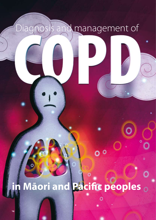# Diagnosis and management of

# **in Māori and Pacific peoples**

 $0<sup>o</sup>$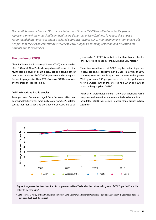*The health burden of Chronic Obstructive Pulmonary Disease (COPD) for Māori and Pacific peoples represents one of the most significant healthcare disparities in New Zealand. To reduce this gap it is recommended that practices adopt a tailored approach towards COPD management in Māori and Pacific peoples that focuses on community awareness, early diagnosis, smoking cessation and education for patients and their families.* 

# **The burden of COPD**

Chronic Obstructive Pulmonary Disease (COPD) is estimated to affect 15% of all New Zealanders aged over 45 years.<sup>1</sup> It is the fourth leading cause of death in New Zealand behind cancer, heart disease and stroke.<sup>1</sup> COPD is permanent, disabling and frequently progressive. Over 85% of cases of COPD are caused by inhalation of tobacco smoke.<sup>1</sup>

#### **COPD in Māori and Pacific peoples**

Amongst New Zealanders aged 50 – 64 years, Māori are approximately five times more likely to die from COPD-related causes than non-Māori and are affected by COPD up to 20 years earlier.2, 3 COPD is ranked as the third highest health priority for Pacific peoples in the Auckland DHB region.4

There is also evidence that COPD may be under-diagnosed in New Zealand, especially among Māori. In a study of 3500 randomly selected people aged over 25 years in the greater Wellington area, 736 people were referred for pulmonary testing. Overall, 16% of those tested had COPD, and 23% of Māori in the group had COPD.<sup>5</sup>

Hospital discharge rates (Figure 1) show that Māori and Pacific peoples are three to four times more likely to be admitted to hospital for COPD than people in other ethnic groups in New Zealand.<sup>6</sup>



**Figure 1:** Age-standardised hospital discharge rates in New Zealand with a primary diagnosis of COPD, per 1000 enrolled patients by ethnicity\*

\* Data source: Ministry of Health, National Minimum Data Set (NMDS). Hospital Discharges Population source: DHB Estimated Resident Population 1996-2006 (Prioritised)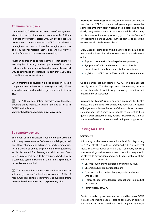# **Communicating risk**

Understanding COPD is an important part of management. Visual aids, such as the airway diagrams in the Asthma Foundation's "Breathe easier with COPD" booklet, are useful tools to demonstrate what COPD is and show its damaging effects on the lungs. Encouraging people to take educational material home is an effective way to involve families and increase understanding.

Another approach is to use examples that relate to everyday life. Focusing on the importance of kaumātua (elders) on the marae and within whānau may be a good way to emphasise the potential impact that COPD can have if kaumātua were absent.

When finishing a consultation, a good approach to see if the patient has understood a message is to ask; "When your whānau asks what advice I gave you, what will you say?"

 $\overline{\mathcal{A}}$  The Asthma Foundation provides downloadable booklets on its website, including "Breathe easier with COPD". Available from:

**www.asthmafoundation.org.nz/resources.php**

# **Spirometry devices**

Equipment of a high standard is required to take accurate spirometry measurements. Software should display a realtime flow volume graph adjusted for body temperature. Results should be able to be printed and the equipment easily dismantled for cleaning and disinfection. Flowbased spirometers need to be regularly checked with a calibrated syringe. Training in the use of a spirometry device is recommended.

 $G$  The Asthma Foundation provides information on spirometry courses for health professionals. A list of recommended portable spirometers is available from: **www.asthmafoundation.org.nz/spirometry.php**

**Promoting awareness** may encourage Māori and Pacific peoples with COPD to contact their general practice earlier. Some patients may delay visiting their doctor due to the slowly progressive nature of the disease, while others may be dismissive of their symptoms, e.g. just a "smoker's cough" or "just being older and unfit". Financial barriers to accessing services are also likely to contribute.<sup>7</sup>

Every Māori or Pacific person who is a current, or ex-smoker, or has household members that smoke should be made aware of the:

- Support that is available to help them stop smoking
- Symptoms of COPD and the need to visit a health professional if a family member displays symptoms
- High impact COPD has on Māori and Pacific communities

Once a person has symptoms of COPD, lung damage has already occurred. This damage cannot be reversed, but can be substantially slowed through smoking cessation and prevention of exacerbations.

**"Support not blame"** is an important approach for health professionals engaging with people who have COPD. A feeling of judgement or blame, because of the association between smoking and COPD, may cause people to present to their general practice later than they otherwise would have. General practice staff need to be seen as welcoming and supportive.

# **Testing for COPD**

#### **Spirometry**

Spirometry is the recommended method for diagnosing COPD.8 Ideally this should be performed with a device that allows electronic analysis of results (see "Spirometry devices"). International guidelines recommend that spirometry should be offered to any person aged over 40 years with any of the following characteristics:2

- Chronic cough (may be sporadic and unproductive)
- Chronic sputum production (phlegm)
- Dyspnoea that is persistent or progressive and worse with exercise
- History of exposure to tobacco, occupational smoke, dust or chemicals
- Family history of COPD

Due to the earlier age of onset and increased burden of COPD in Māori and Pacific peoples, testing for COPD in selected people who are at increased risk should begin at a younger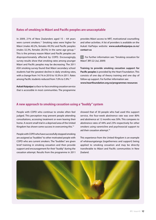## **Rates of smoking in Māori and Pacific peoples are unacceptable**

In 2009, 21% of New Zealanders aged 15 – 64 years were current smokers.<sup>11</sup> Smoking rates were higher for Māori (males 40.2%, females 49.3%) and Pacific peoples (males 32.3%, females 28.5%) in the same age group.<sup>11</sup> This is the primary reason Māori and Pacific peoples are disproportionately affected by COPD. Encouragingly, survey results show that smoking rates among younger Māori and Pacific peoples may be decreasing. The 2011 ASH smoking survey found that Māori secondary school students had the greatest decline in daily smoking rates, with a change from 14.1% in 2010 to 10.3% in 2011. Rates among Pacific students reduced from 7.0% to 5.9%.<sup>12</sup>

**Aukati Kaipaipa** is a face-to-face smoking cessation service that is accessible in most communities. The programme

provides Māori access to NRT, motivational counselling and other activities. A list of providers is available on the Aukati KaiPaipa website: **www.aukatikaipaipa.co.nz/ contact-us** 

For further information see: "Smoking cessation for Māori", BPJ 22 (Jul, 2009)

**Training to provide smoking cessation support for Pacific peoples** is provided by the Heart Foundation. This consists of one day of theory training and one day of follow-up support. For further information see: **www.heartfoundation.org.nz/programmes-resources**

## **A new approach to smoking cessation using a "buddy" system**

People with COPD who continue to smoke often feel judged. This perception may prevent people attending consultations, accessing treatment or even leaving their home. A recent small trial in a deprived area of the United Kingdom has shown some success in overcoming this.<sup>13</sup>

People with COPD who have successfully stopped smoking are assigned as "buddies" to other motivated people with COPD who are current smokers. The "buddies" are given brief training in smoking cessation and then provide support and encouragement for their "buddy" during the cessation attempt. Results from the programme in 2011

showed that of 30 people who had used this support service, the four-week abstinence rate was over 80% and abstinence at 12 months was 50%. This compares to abstinence rates of 44% and 23% respectively for other smokers using varenicline and psychosocial support to aid their cessation attempt.<sup>14</sup>

This experience from the United Kingdom is an example of whānaungatanga (togetherness and support) being applied to smoking cessation and may be directly transferable to Māori and Pacific communities in New Zealand.

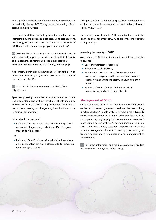age, e.g. Māori or Pacific peoples who are heavy smokers and have a family history of COPD may benefit from being offered testing from age 30 years.

It is important that normal spirometry results are not interpreted by the patient as a disincentive to stop smoking. Conversely, early detection and the "shock" of a diagnosis of COPD often helps to motivate people to stop smoking.9

 $G$  Asthma Societies throughout New Zealand provide spirometry and support services for people with COPD. A list of local branches of Asthma Societies is available from: **www.asthmafoundation.org.nz/asthma\_societies.php**

If spirometry is unavailable, questionnaires, such as the clinical COPD questionnaire (CCQ), may be used as an indication of the likelihood of COPD.

 $\overline{\mathcal{G}}$  The clinical COPD questionnaire is available from: **http://ccq.nl/** 

**Spirometry testing** should be performed when the patient is clinically stable and without infection. Patients should be advised not to use a short-acting bronchodilator in the six hours prior to testing, or a long-acting bronchodilator in the 12 hours prior to testing.

Values should be measured:

Before and  $10 - 15$  minutes after administering a shortacting beta-2 agonist, e.g. salbutamol 400 micrograms (four puffs) via a spacer

**or**

Before and 30 – 45 minutes after administering a shortacting anticholinergic, e.g. ipratropium 160 micrograms (eight puffs) via a spacer

A diagnosis of COPD is defined as a post-bronchodilator forced expiratory volume (in one second) to forced vital capacity ratio (FEV1/FVC) of < 0.7.10

The peak expiratory flow rate (PEFR) should not be used in the diagnosis or management of COPD as it is a measure of airflow in large airways.

#### **Assessing the severity of COPD**

Assessment of COPD severity should take into account the following:2

- **Level of breathlessness (Table 1)**
- **Spirometry results (Table 2)**
- Exacerbation risk calculated from the number of exacerbations experienced in the previous 12 months: less than two exacerbations is low risk, two or more is high risk
- Presence of co-morbidities influences risk of hospitalisation and overall mortality risk

#### **Management of COPD**

Once a diagnosis of COPD has been made, there is strong evidence that smoking cessation reduces the rate of lung function decline.<sup>10</sup> People with COPD who smoke, typically smoke more cigarettes per day than other smokers and have a comparatively higher physical dependence to nicotine.15 Motivating a person with COPD to stop smoking (i.e. using "ABC" – ask, brief advice, cessation support) should be the primary management focus, followed by pharmacological treatment, pulmonary rehabilitation and management of exacerbations.

 $\mathbb{G}$  For further information on smoking cessation see: "Update on smoking cessation", BPJ 33 (Dec, 2010).

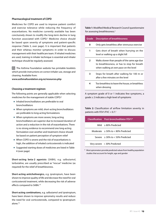#### **Pharmacological treatment of COPD**

Medicines for COPD are used to improve patient comfort and exercise tolerance while reducing the frequency of exacerbations. No medicine currently available has been conclusively shown to modify the long-term decline in lung function associated with COPD.<sup>2</sup> Medicine choice should be based upon severity of symptoms and patient-specific response (Table 3, over page). It is important that patients and their whānau monitor symptoms in order to discuss management with their healthcare team. If inhaled medicines are used, training in inhaler technique is essential and inhaler technique should be regularly assessed.

 $\mathbb{G}$  The Asthma Foundation website has printable booklets which provide instructions on correct inhaler use, storage and cleaning. Available from:

**www.asthmafoundation.org.nz/resources.php**

#### **Choosing a treatment regimen**

The following points are generally applicable when selecting medicines for the management of stable COPD:2

- **Inhaled bronchodilators are preferable to oral** bronchodilators
- When symptoms are mild, short-acting bronchodilators are preferable to long-acting formulations
- When symptoms are more severe, long-acting bronchodilators are superior due to increased duration of action and a reduction in the risk of exacerbations. There is no strong evidence to recommend one long-acting formulation over another and treatment choice should be based on patient perception of symptom relief
- When COPD is severe and the risk of exacerbations is high, the addition of inhaled corticosteroids is indicated
- Suggested starting doses of medicines are listed in Table 4 (over page)

**Short-acting beta-2 agonists** (SABA), e.g. salbutamol, terbutaline, are usually prescribed as "rescue" medicine (as required) for the relief of breathlessness.

**Short-acting anticholinergics,** e.g. ipratropium, have been shown to improve quality of life and decrease the need for oral corticosteroid treatment, while decreasing the risk of adverse effects compared to SABA.<sup>10</sup>

**Short-acting combinations,** e.g. salbutamol and ipratropium, have been shown to improve spirometry results and reduce the need for oral corticosteroids, compared to ipratropium alone.<sup>10</sup>

**Table 1:** Modified Medical Research Council questionnaire for assessing breathlessness.2

| Grade          | <b>Description of breathlessness</b>                                                                                                  |
|----------------|---------------------------------------------------------------------------------------------------------------------------------------|
| 0              | Only gets breathless after strenuous exercise                                                                                         |
| 1              | Gets short of breath when hurrying on the<br>level or walking up a slight hill                                                        |
| $\overline{2}$ | Walks slower than people of the same age due<br>to breathlessness, or has to stop for breath<br>when walking at own pace on the level |
| 3              | Stops for breath after walking for 100 m or<br>after a few minutes on the level                                                       |
| 4              | Too breathless to leave the house, or breathless<br>when dressing                                                                     |

A symptom grade of 0 or 1 indicates few symptoms, a grade ≥ 2 indicates a high level of symptoms

**Table 2:** Classification of airflow limitation severity in patients with FEV1/FVC  $< 0.7<sup>2</sup>$ 

| Classification Post-bronchodilator FEV1* |  |
|------------------------------------------|--|
| Mild $> 80\%$ Predicted                  |  |
| Moderate $> 50\%$ to $< 80\%$ Predicted  |  |
| Severe $>$ 30% to $<$ 50% Predicted      |  |
| Very severe < 30% Predicted              |  |

\* Most spirometers provide predicted values from healthy population studies that account for height, age and gender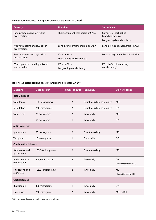# **Table 3:** Recommended initial pharmacological treatment of COPD.2

| <b>Severity</b>                                 | <b>First-line</b>                               | Second-line                                   |  |
|-------------------------------------------------|-------------------------------------------------|-----------------------------------------------|--|
| Few symptoms and low risk of<br>exacerbations   | Short-acting anticholinergic or SABA            | Combined short-acting<br>bronchodilators or   |  |
|                                                 |                                                 | Long-acting bronchodilator                    |  |
| Many symptoms and low risk of<br>exacerbations  | Long-acting anticholinergic or LABA             | Long-acting anticholinergic + LABA            |  |
| Few symptoms and high risk of<br>exacerbations  | $ICS + I ABA$ or<br>Long-acting anticholinergic | Long-acting anticholinergic + LABA            |  |
| Many symptoms and high risk of<br>exacerbations | $ICS + LABA$ or<br>Long-acting anticholinergic  | $ICS + LABA + long-acting$<br>anticholinergic |  |

# **Table 4:** Suggested starting doses of inhaled medicines for COPD10, 16

| <b>Medicine</b>               | Dose per puff     | <b>Number of puffs</b> | <b>Frequency</b>             | <b>Delivery device</b>   |  |
|-------------------------------|-------------------|------------------------|------------------------------|--------------------------|--|
| Beta-2 agonist                |                   |                        |                              |                          |  |
| Salbutamol                    | 100 micrograms    | 2                      | Four times daily as required | <b>MDI</b>               |  |
| Terbutaline                   | 250 micrograms    | $\overline{2}$         | Four times daily as required | <b>DPI</b>               |  |
| Salmeterol                    | 25 micrograms     | $\overline{2}$         | Twice daily                  | <b>MDI</b>               |  |
|                               | 50 micrograms     | 1                      | Twice daily                  | <b>DPI</b>               |  |
| Anticholinergic               |                   |                        |                              |                          |  |
| Ipratropium                   | 20 micrograms     | 2                      | Four times daily             | <b>MDI</b>               |  |
| Titropium                     | 18 micrograms     | 1                      | Once daily                   | <b>DPI</b>               |  |
| <b>Combination inhalers</b>   |                   |                        |                              |                          |  |
| Salbutamol and<br>ipratropium | 100/20 micrograms | $\overline{2}$         | Four times daily             | <b>MDI</b>               |  |
| <b>Budesonide and</b>         | 200/6 micrograms  | $\overline{2}$         | Twice daily                  | <b>DPI</b>               |  |
| eformoterol                   |                   |                        |                              | (dose different for MDI) |  |
| Fluticasone and               | 125/25 micrograms | $\overline{2}$         | Twice daily                  | <b>MDI</b>               |  |
| salmeterol                    |                   |                        |                              | (dose different for DPI) |  |
| Corticosteroid                |                   |                        |                              |                          |  |
| Budesonide                    | 400 micrograms    | 1                      | Twice daily                  | <b>DPI</b>               |  |
| Fluticasone                   | 250 micrograms    | 2                      | Twice daily                  | MDI or DPI               |  |

MDI = metered dose inhaler, DPI = dry powder inhaler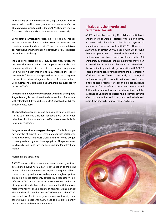**Long-acting beta-2 agonists** (LABA), e.g. salmeterol, reduce exacerbations and improve symptoms, and are more effective at maintaining symptom relief than SABAs. They are effective for at least 12 hours and can be administered twice daily.

**Long-acting anticholinergic**s, e.g. tiotropium, reduce exacerbations and have an effect over 24 hours and are therefore administered once daily. There is an increased risk of dry mouth and urinary retention. Tiotropium is fully subsidised under Special Authority.

**Inhaled corticosteroids (ICS)**, e.g. budesonide, fluticasone, decrease the exacerbation rate compared to placebo, and increase quality of life, $2$  but do not appear to prevent lung function deterioration and may increase the risk of pneumonia.12 Systemic absorption does occur and long-term use must be balanced against the risk of adverse effects. Beclomethasone is also available but there is less evidence for its use in COPD.

**Combination inhaled corticosteroids with long-acting beta-2 agonists**, e.g. budesonide with eformoterol and fluticasone with salmeterol (fully subsidised under Special Authority), can be taken twice daily.

**Theophylline**, available in long-acting tablets or oral liquid, is used as a third-line treatment for people with COPD when other bronchodilators are either ineffective or unavailable for long-term treatment.

**Long-term continuous oxygen therapy** (16 – 24 hours per day) may be of benefit in selected patients with COPD who have a PaO<sub>2</sub> consistently less than 55 mm Hg. Home oxygen is usually initiated by a respiratory physician. The patient must be clinically stable and have stopped smoking for at least one month.

#### **Managing exacerbations**

A COPD exacerbation is an acute event where symptoms deteriorate beyond normal day-to-day variation to the point where a change in the medicine regimen is required.<sup>2</sup> This is characterised by an increase in dyspnoea, cough or sputum production, most commonly caused by a respiratory tract infection. COPD exacerbations are known to increase the rate of lung function decline and are associated with increased rates of mortality.17 The higher rate of hospitalisation amongst Māori and Pacific peoples due to COPD suggests that COPD exacerbations affect these groups more significantly than other groups. People with COPD need to be able to identify exacerbations and seek treatment early.

## **Inhaled anticholinergics and cardiovascular risk**

A 2008 meta analysis assessing 17 trials found that inhaled anticholinergics were associated with a significantly increased risk of cardiovascular death, myocardial infarction or stroke in people with COPD.<sup>18</sup> However, a 2010 study of almost 20 000 people with COPD found that tiotropium was associated with a reduction in cardiovascular events and cardiovascular mortality.19 But another study, published in the same journal, showed an increased risk of cardiovascular events associated with the use of ipratropium in a large population with COPD.<sup>20</sup> There is ongoing controversy regarding the interpretation of these results. There is currently no biological explanation why the two anticholinergics would have different cardiovascular effects and a dose-response relationship for the effect has not been demonstrated. Both medicines have low systemic absorption. Until the evidence is understood better, the potential adverse effects of ipratropium and tiotropium need to balanced against the known benefits of these medicines.

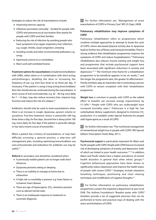Strategies to reduce the risk of exacerbations include:

- **Improving exercise capacity**
- $\blacksquare$  Influenza vaccination (annually funded for people with COPD) and pneumococcal vaccination (five-yearly) for people with COPD and their families
- Reducing the risk of infection by avoiding people who have symptoms of an upper respiratory tract infection, e.g. cough, rhinitis, nasal congestion, sneezing
- Avoiding smoke and other environmental pollutants, e.g. smog
- Optimised control of co-morbidities
- Warm and well ventilated homes

**Treatment options for exacerbations** include bronchodilation with SABA, either alone or in combination with short-acting anticholinergics; doubling the dose or increasing the frequency of use, e.g. from four times to six times per day, if necessary. If the patient is using a long-acting bronchodilator then this should also be continued during the exacerbation. A short course of oral corticosteroids, e.g. 20 – 40 mg, once daily, for 7 – 14 days, may also reduce recovery time, improve lung function and reduce the risk of a relapse.<sup>10</sup>

Antibiotics should only be used to treat exacerbations when there is an increase in cough, dyspnoea, sputum volume or purulence. First-line treatment choice is amoxicillin 500 mg, three times a day, for five days. Second-line is doxycycline 100 mg, twice daily, for five days if the patient is penicillin allergic or has had a recent course of amoxicillin.

When a patient has a history of exacerbations, or may have difficulty accessing a general practice, a step-wise selfmanagement plan, including optimising bronchodilator use, oral corticosteroids and indications for antibiotic use may be useful.<sup>10</sup>

**Referral** to secondary care should be considered when:

- A previously mobile patient can no longer walk short distances
- **Dyspnoea prevents eating or sleeping**
- There is an inability to manage at home due to exhaustion
- A high-risk co-morbidity is present, e.g. heart failure or ischaemic heart disease
- There are sign of hypercapnia (CO<sub>2</sub> retention) present, such as altered mental state
- There is an inadequate response to treatment or uncertain diagnosis

 $\mathbb{G}$  For further information see: "Management of acute exacerbations of COPD in Primary Care", BPJ 23 (Sept, 2009)

#### **Pulmonary rehabilitation may improve symptoms of COPD**

Pulmonary rehabilitation refers to programmes which combine multiple approaches to attempt to break the cycle of COPD, where decreased physical activity due to dyspnoea leads to further loss of fitness and eventual immobility. There is strong evidence that rehabilitation programmes improve the symptoms of COPD and reduce hospitalisations.<sup>10</sup> Pulmonary rehabilitation also reduces muscle wasting and weight loss, and programmes that include psychosocial support have been associated with significant reductions in anxiety and depression.10, 21 The minimum time-frame for a rehabilitation programme to be beneficial appears to be six weeks,<sup>10</sup> and the longer the programme lasts, the greater its effectiveness.<sup>2</sup> Family members play an important role in motivating a person with COPD to remain compliant with their rehabilitation programme.

**Weight loss** is common in people with COPD as the added effort to breathe can increase energy requirements by 15–20%.22 People with COPD who are underweight have increased mortality rates.<sup>22</sup> Pulmocare is a high fat, low carbohydrate dietary supplement, designed to minimise CO<sub>2</sub> production. It is available under Special Authority for people with hypercapnia as a result of COPD.

 $\mathcal{F}$  For further information see: "The nutritional management of unintentional weight loss in people with COPD", BPJ Special Edition; Prescription Foods (May, 2011).

**Psychosocial support** is particularly important for Māori and Pacific peoples with COPD. People with COPD have an increased risk of developing symptoms of anxiety and depression, both of which are linked to poor health outcomes.<sup>10, 23</sup> In addition, Māori and Pacific adults have a higher prevalence of mental health disorders in general than other ethnic groups.<sup>24</sup> Cognitive behavioural approaches have been shown to significantly reduce depression and improve the health status of people with severe COPD.25 Strategies include relaxation, breathing techniques, positioning and chest clearing techniques and modification of negative thoughts.25

 $\mathbb{G}$  For further information on pulmonary rehabilitation programmes contact the respiratory department at your local DHB. The Asthma Foundation's "Breathe easier with COPD" booklets provide a list of suggested exercises that can be performed at home and practical ways of dealing with the stress and limitations of COPD.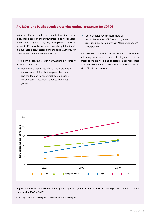# **Are Māori and Pacific peoples receiving optimal treatment for COPD?**

Māori and Pacific peoples are three to four times more likely than people of other ethnicities to be hospitalised due to COPD (Figure 1, page 15). Tiotropium is known to reduce COPD exacerbations and related hospitalisations.26 It is available in New Zealand under Special Authority for patients with moderate or severe COPD.

Tiotropium dispensing rates in New Zealand by ethnicity (Figure 2) show that:

- Māori have a higher rate of tiotropium dispensing than other ethnicities, but are prescribed only one-third to one-half more tiotropium despite hospitalisation rates being three to four times greater
- **Pacific peoples have the same rate of** hospitalisations for COPD as Māori, yet are prescribed less tiotropium than Māori or European/ Other people

It is unknown if these disparities are due to tiotropium not being prescribed to these patient groups, or if the prescriptions are not being collected. In addition, there is no available data on medicine compliance for people with COPD in New Zealand.



**Figure 2:** Age-standardised rates of tiotropium dispensing (items dispensed) in New Zealand per 1000 enrolled patients by ethnicity, 2008 to 2010\*

\* Discharges source: As per Figure 1 Population source: As per Figure 1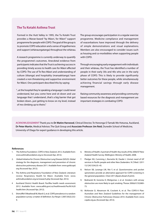# **The Tu Kotahi Asthma Trust**

Formed in the Hutt Valley in 1995, the Tu Kotahi Trust provides a Marae-based "by Māori, for Māori" support programme for people with COPD. The goal of the group is to promote COPD education and a sense of togetherness and support (whānaungatanga) throughout the whānau.

A research programme is currently underway to quantify the programme's outcomes. Anecdotal evidence from participants indicates that the Trust is achieving success in providing timely access to health care for Māori affected by COPD. The use of Te Reo Māori and understanding of culture (tikanga) and hospitality (manaakitanga) have created a non-threatening and supportive environment for Māori. One participant described this by saying:

"...at the hospital they're speaking a language I could never understand, but you come here and sit down and use language that I understand...that's a big barrier that got broken down...just getting to know on my level, instead of me climbing up to theirs."

The group encourages participation in a regular exercise programme. Medicine compliance and management of exacerbations have improved through the delivery of simple demonstrations and visual explanations. Members are also encouraged to consider issues such as housing and co-morbidities when supporting people with COPD.

Through encouraging early engagement with individuals and their whānau, the Trust has identified a number of people in their early 30s and 40s who are in the early phase of COPD. This is likely to provide significantly better outcomes for these people, while simultaneously achieving financial savings through early disease management.

Raising community awareness and providing communitybased resources for the diagnosis and management are important strategies in combating COPD.

**ACKNOWLEDGEMENT** Thank you to **Dr Matire Harwood**, Clinical Director, Te Hononga O Tamaki Me Hoturoa, Auckland, **Dr Peter Martin**, Medical Advisor, The Quit Group and **Associate Professor Jim Reid**, Dunedin School of Medicine, University of Otago for expert guidance in developing this article.

#### **References**

- 1. The Asthma Foundation. COPD in New Zealand. 2012. Available from: www.asthmafoundation.org.nz (Accessed Apr, 2012).
- 2. Global Initiative for Chronic Obstructive Lung Disease (GOLD). Global strategy for the diagnosis, management and prevention of chronic obstructive pulmonary disease 2011. Available from: www.goldcopd. org (Accessed Apr, 2012).
- 3. The Asthma and Respiratory Foundation of New Zealand. Literature review: Respiratory Health for Māori. Available from: www. asthmafoundation.org.nz/research.php (Accessed Apr, 2012).
- 4 Auckland District Health Board. Pacifika health needs assessment. 2012. Available from: www.adhb.govt.nz/healthneeds/Pacific%20 health.htm (Accessed Apr, 2012).
- 5. Shirtcliffe P, Weatherall M, Marsh S, et al. COPD prevalence in a random population survey: a matter of definition. Eur Respir J 2007;30(2):232– 9.
- 6. Ministry of Health. A portrait of Health: Key results of the 2006/07 New Zealand Health Survey. Wellington: Ministry of Health; 2008.
- 7. Pledger MJ, Cumming J, Burnette M, Daubé J. Unmet need of GP services in Pacific people and other New Zealanders. N Z Med J 2011 13;124(1334):35–45.
- 8. Nelson SB, Lavange LM, Nie Y, et al. Questionnaires and pocket spirometers provide an alternative approach for COPD screening in the general population. Chest 2011;[Epub ahead of print].
- 9. Bednarek M, Gorecka D, Wielgomas J, et al. Smokers with airway obstruction are more likely to quit smoking. Thorax 2006;61(10):869– 73.
- 10. McKenzie D, Abramson M, Crockett A, et al. The COPD-X Plan: Australian and New Zealand Guidelines for the management of Chronic Obstructive Pulmonary Disease 2010. Available from: www. copdx.org.au (Accessed Apr, 2012).